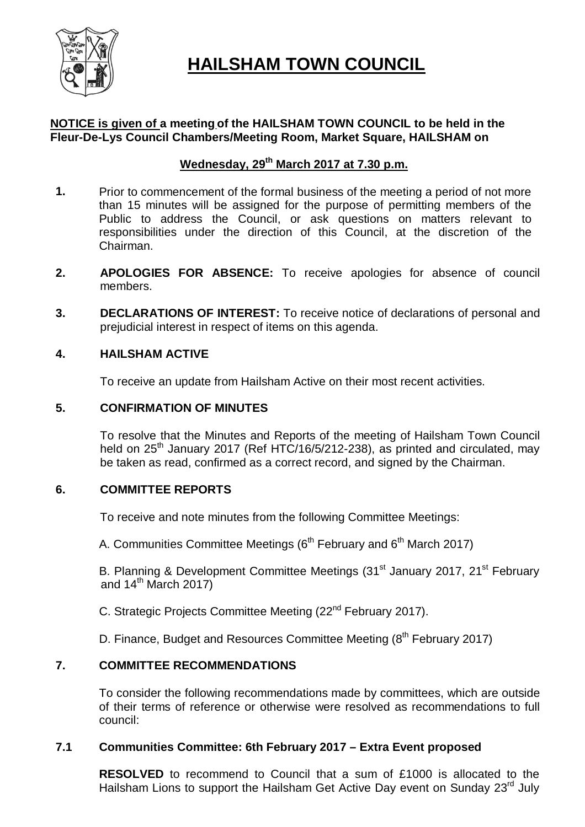

# **HAILSHAM TOWN COUNCIL**

### **NOTICE is given of a meeting of the HAILSHAM TOWN COUNCIL to be held in the Fleur-De-Lys Council Chambers/Meeting Room, Market Square, HAILSHAM on**

### **Wednesday, 29th March 2017 at 7.30 p.m.**

- **1.** Prior to commencement of the formal business of the meeting a period of not more than 15 minutes will be assigned for the purpose of permitting members of the Public to address the Council, or ask questions on matters relevant to responsibilities under the direction of this Council, at the discretion of the Chairman.
- **2. APOLOGIES FOR ABSENCE:** To receive apologies for absence of council members.
- **3. DECLARATIONS OF INTEREST:** To receive notice of declarations of personal and prejudicial interest in respect of items on this agenda.

#### **4. HAILSHAM ACTIVE**

To receive an update from Hailsham Active on their most recent activities.

#### **5. CONFIRMATION OF MINUTES**

To resolve that the Minutes and Reports of the meeting of Hailsham Town Council held on 25<sup>th</sup> January 2017 (Ref HTC/16/5/212-238), as printed and circulated, may be taken as read, confirmed as a correct record, and signed by the Chairman.

#### **6. COMMITTEE REPORTS**

To receive and note minutes from the following Committee Meetings:

A. Communities Committee Meetings ( $6<sup>th</sup>$  February and  $6<sup>th</sup>$  March 2017)

B. Planning & Development Committee Meetings (31<sup>st</sup> January 2017, 21<sup>st</sup> February and  $14^{\text{th}}$  March 2017)

C. Strategic Projects Committee Meeting (22nd February 2017).

D. Finance, Budget and Resources Committee Meeting (8<sup>th</sup> February 2017)

#### **7. COMMITTEE RECOMMENDATIONS**

To consider the following recommendations made by committees, which are outside of their terms of reference or otherwise were resolved as recommendations to full council:

#### **7.1 Communities Committee: 6th February 2017 – Extra Event proposed**

**RESOLVED** to recommend to Council that a sum of £1000 is allocated to the Hailsham Lions to support the Hailsham Get Active Day event on Sunday 23<sup>rd</sup> July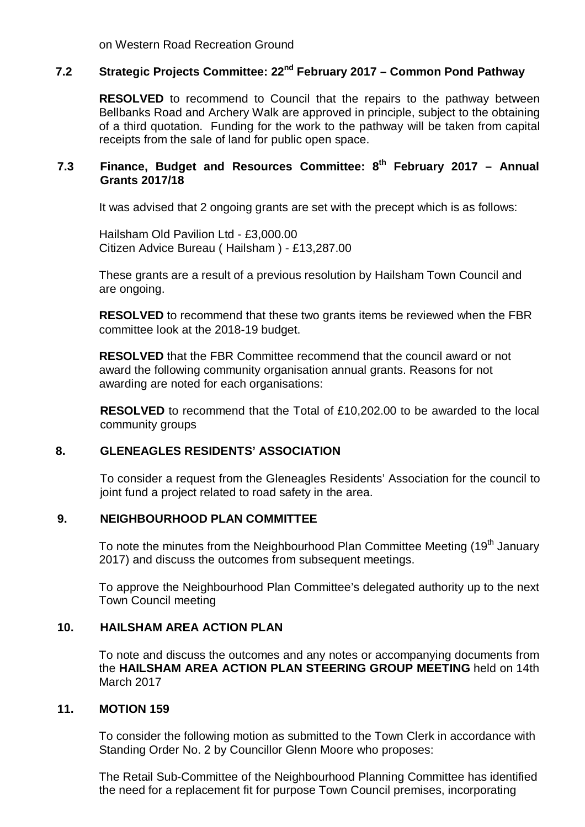on Western Road Recreation Ground

## **7.2 Strategic Projects Committee: 22nd February 2017 – Common Pond Pathway**

**RESOLVED** to recommend to Council that the repairs to the pathway between Bellbanks Road and Archery Walk are approved in principle, subject to the obtaining of a third quotation. Funding for the work to the pathway will be taken from capital receipts from the sale of land for public open space.

### **7.3 Finance, Budget and Resources Committee: 8th February 2017 – Annual Grants 2017/18**

It was advised that 2 ongoing grants are set with the precept which is as follows:

Hailsham Old Pavilion Ltd - £3,000.00 Citizen Advice Bureau ( Hailsham ) - £13,287.00

These grants are a result of a previous resolution by Hailsham Town Council and are ongoing.

**RESOLVED** to recommend that these two grants items be reviewed when the FBR committee look at the 2018-19 budget.

**RESOLVED** that the FBR Committee recommend that the council award or not award the following community organisation annual grants. Reasons for not awarding are noted for each organisations:

**RESOLVED** to recommend that the Total of £10,202.00 to be awarded to the local community groups

#### **8. GLENEAGLES RESIDENTS' ASSOCIATION**

To consider a request from the Gleneagles Residents' Association for the council to joint fund a project related to road safety in the area.

#### **9. NEIGHBOURHOOD PLAN COMMITTEE**

To note the minutes from the Neighbourhood Plan Committee Meeting (19<sup>th</sup> January 2017) and discuss the outcomes from subsequent meetings.

To approve the Neighbourhood Plan Committee's delegated authority up to the next Town Council meeting

#### **10. HAILSHAM AREA ACTION PLAN**

To note and discuss the outcomes and any notes or accompanying documents from the **HAILSHAM AREA ACTION PLAN STEERING GROUP MEETING** held on 14th March 2017

#### **11. MOTION 159**

To consider the following motion as submitted to the Town Clerk in accordance with Standing Order No. 2 by Councillor Glenn Moore who proposes:

The Retail Sub-Committee of the Neighbourhood Planning Committee has identified the need for a replacement fit for purpose Town Council premises, incorporating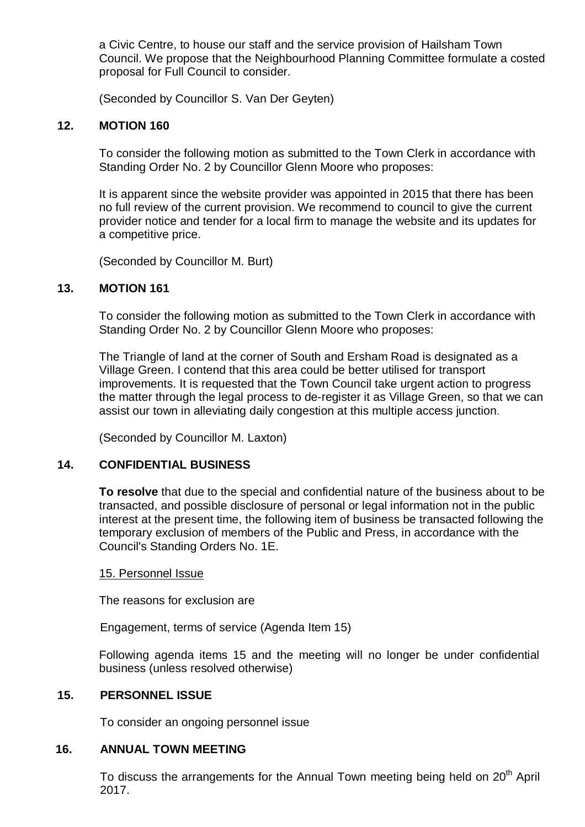a Civic Centre, to house our staff and the service provision of Hailsham Town Council. We propose that the Neighbourhood Planning Committee formulate a costed proposal for Full Council to consider.

(Seconded by Councillor S. Van Der Geyten)

#### **12. MOTION 160**

To consider the following motion as submitted to the Town Clerk in accordance with Standing Order No. 2 by Councillor Glenn Moore who proposes:

It is apparent since the website provider was appointed in 2015 that there has been no full review of the current provision. We recommend to council to give the current provider notice and tender for a local firm to manage the website and its updates for a competitive price.

(Seconded by Councillor M. Burt)

#### **13. MOTION 161**

To consider the following motion as submitted to the Town Clerk in accordance with Standing Order No. 2 by Councillor Glenn Moore who proposes:

The Triangle of land at the corner of South and Ersham Road is designated as a Village Green. I contend that this area could be better utilised for transport improvements. It is requested that the Town Council take urgent action to progress the matter through the legal process to de-register it as Village Green, so that we can assist our town in alleviating daily congestion at this multiple access junction.

(Seconded by Councillor M. Laxton)

#### **14. CONFIDENTIAL BUSINESS**

**To resolve** that due to the special and confidential nature of the business about to be transacted, and possible disclosure of personal or legal information not in the public interest at the present time, the following item of business be transacted following the temporary exclusion of members of the Public and Press, in accordance with the Council's Standing Orders No. 1E.

#### 15. Personnel Issue

The reasons for exclusion are

Engagement, terms of service (Agenda Item 15)

Following agenda items 15 and the meeting will no longer be under confidential business (unless resolved otherwise)

#### **15. PERSONNEL ISSUE**

To consider an ongoing personnel issue

#### **16. ANNUAL TOWN MEETING**

To discuss the arrangements for the Annual Town meeting being held on 20<sup>th</sup> April 2017.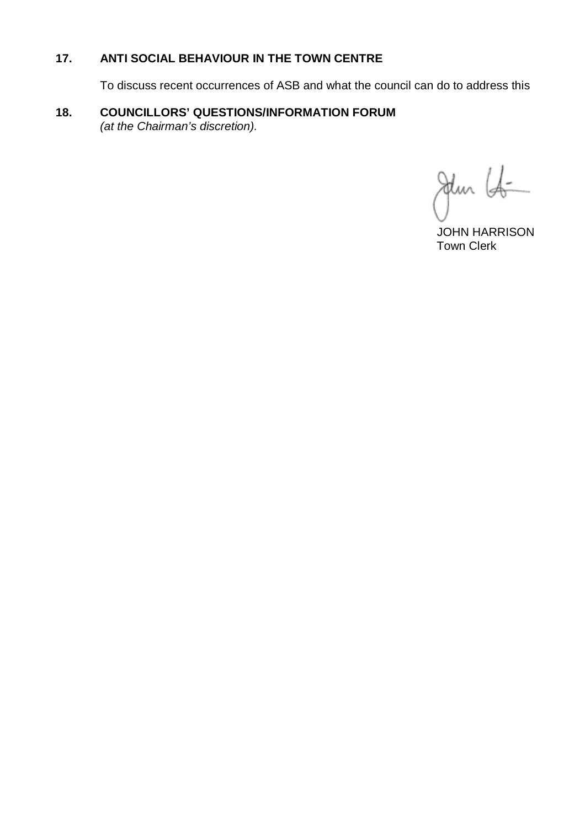### **17. ANTI SOCIAL BEHAVIOUR IN THE TOWN CENTRE**

To discuss recent occurrences of ASB and what the council can do to address this

#### **18. COUNCILLORS' QUESTIONS/INFORMATION FORUM** *(at the Chairman's discretion).*

Jun 16  $\overline{a}$ 

 JOHN HARRISON Town Clerk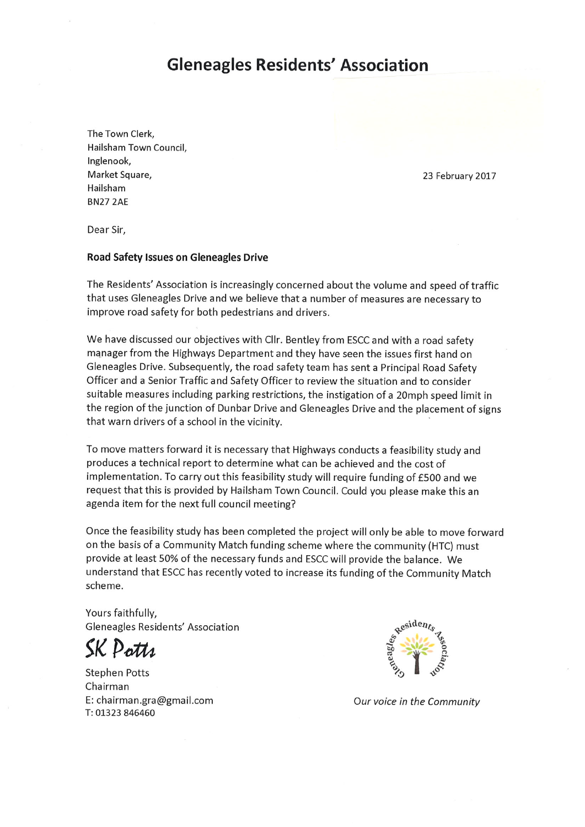### **Gleneagles Residents' Association**

The Town Clerk, Hailsham Town Council. Inglenook. Market Square, Hailsham **BN27 2AE** 

23 February 2017

Dear Sir,

#### **Road Safety Issues on Gleneagles Drive**

The Residents' Association is increasingly concerned about the volume and speed of traffic that uses Gleneagles Drive and we believe that a number of measures are necessary to improve road safety for both pedestrians and drivers.

We have discussed our objectives with Cllr. Bentley from ESCC and with a road safety manager from the Highways Department and they have seen the issues first hand on Gleneagles Drive. Subsequently, the road safety team has sent a Principal Road Safety Officer and a Senior Traffic and Safety Officer to review the situation and to consider suitable measures including parking restrictions, the instigation of a 20mph speed limit in the region of the junction of Dunbar Drive and Gleneagles Drive and the placement of signs that warn drivers of a school in the vicinity.

To move matters forward it is necessary that Highways conducts a feasibility study and produces a technical report to determine what can be achieved and the cost of implementation. To carry out this feasibility study will require funding of £500 and we request that this is provided by Hailsham Town Council. Could you please make this an agenda item for the next full council meeting?

Once the feasibility study has been completed the project will only be able to move forward on the basis of a Community Match funding scheme where the community (HTC) must provide at least 50% of the necessary funds and ESCC will provide the balance. We understand that ESCC has recently voted to increase its funding of the Community Match scheme.

Yours faithfully, Gleneagles Residents' Association

SK Potts

**Stephen Potts** Chairman E: chairman.gra@gmail.com T: 01323 846460



Our voice in the Community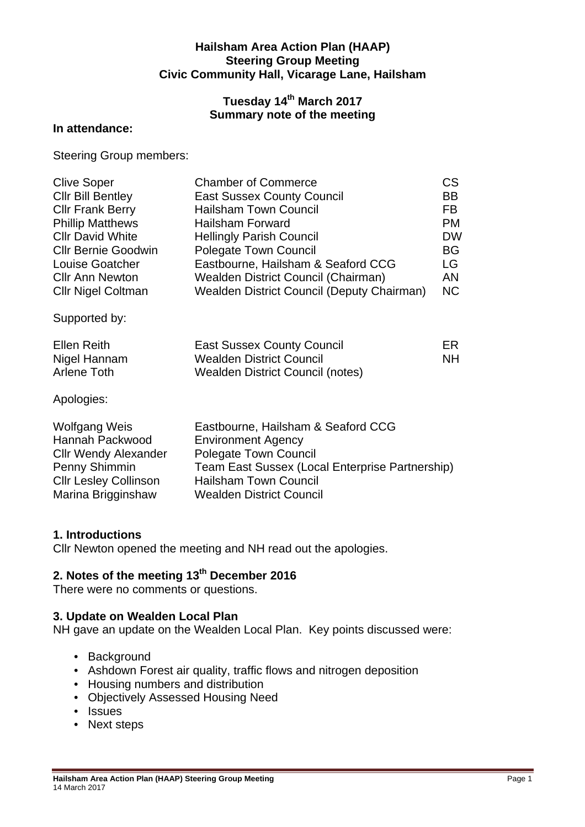#### **Hailsham Area Action Plan (HAAP) Steering Group Meeting Civic Community Hall, Vicarage Lane, Hailsham**

### **Tuesday 14th March 2017 Summary note of the meeting**

#### **In attendance:**

Steering Group members:

| <b>Clive Soper</b><br><b>CIIr Bill Bentley</b><br><b>Cllr Frank Berry</b><br><b>Phillip Matthews</b><br><b>CIIr David White</b><br><b>Cllr Bernie Goodwin</b><br>Louise Goatcher<br><b>Cllr Ann Newton</b><br><b>Cllr Nigel Coltman</b> | <b>Chamber of Commerce</b><br><b>East Sussex County Council</b><br><b>Hailsham Town Council</b><br><b>Hailsham Forward</b><br><b>Hellingly Parish Council</b><br><b>Polegate Town Council</b><br>Eastbourne, Hailsham & Seaford CCG<br>Wealden District Council (Chairman)<br>Wealden District Council (Deputy Chairman) | <b>CS</b><br><b>BB</b><br>FB.<br><b>PM</b><br><b>DW</b><br><b>BG</b><br>LG<br>AN<br><b>NC</b> |
|-----------------------------------------------------------------------------------------------------------------------------------------------------------------------------------------------------------------------------------------|--------------------------------------------------------------------------------------------------------------------------------------------------------------------------------------------------------------------------------------------------------------------------------------------------------------------------|-----------------------------------------------------------------------------------------------|
| Supported by:                                                                                                                                                                                                                           |                                                                                                                                                                                                                                                                                                                          |                                                                                               |
| <b>Ellen Reith</b><br>Nigel Hannam<br><b>Arlene Toth</b>                                                                                                                                                                                | <b>East Sussex County Council</b><br><b>Wealden District Council</b><br>Wealden District Council (notes)                                                                                                                                                                                                                 | ER.<br>NΗ                                                                                     |
| Apologies:                                                                                                                                                                                                                              |                                                                                                                                                                                                                                                                                                                          |                                                                                               |
| <b>Wolfgang Weis</b><br>Hannah Packwood<br><b>Cllr Wendy Alexander</b><br>Penny Shimmin<br><b>Cllr Lesley Collinson</b>                                                                                                                 | Eastbourne, Hailsham & Seaford CCG<br><b>Environment Agency</b><br><b>Polegate Town Council</b><br>Team East Sussex (Local Enterprise Partnership)<br><b>Hailsham Town Council</b>                                                                                                                                       |                                                                                               |

#### **1. Introductions**

Cllr Newton opened the meeting and NH read out the apologies.

### **2. Notes of the meeting 13th December 2016**

Marina Brigginshaw Wealden District Council

There were no comments or questions.

#### **3. Update on Wealden Local Plan**

NH gave an update on the Wealden Local Plan. Key points discussed were:

- Background
- Ashdown Forest air quality, traffic flows and nitrogen deposition
- Housing numbers and distribution
- Objectively Assessed Housing Need
- Issues
- Next steps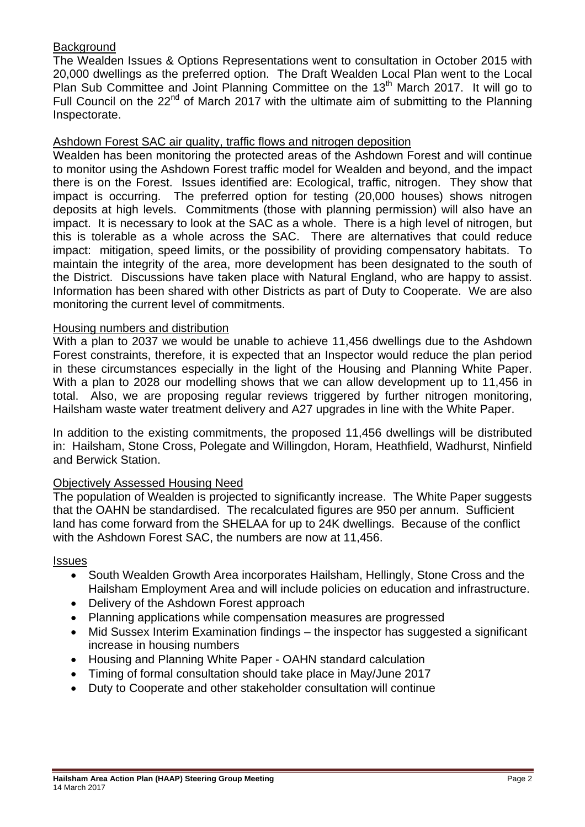#### **Background**

The Wealden Issues & Options Representations went to consultation in October 2015 with 20,000 dwellings as the preferred option. The Draft Wealden Local Plan went to the Local Plan Sub Committee and Joint Planning Committee on the 13<sup>th</sup> March 2017. It will go to Full Council on the  $22^{nd}$  of March 2017 with the ultimate aim of submitting to the Planning Inspectorate.

#### Ashdown Forest SAC air quality, traffic flows and nitrogen deposition

Wealden has been monitoring the protected areas of the Ashdown Forest and will continue to monitor using the Ashdown Forest traffic model for Wealden and beyond, and the impact there is on the Forest. Issues identified are: Ecological, traffic, nitrogen. They show that impact is occurring. The preferred option for testing (20,000 houses) shows nitrogen deposits at high levels. Commitments (those with planning permission) will also have an impact. It is necessary to look at the SAC as a whole. There is a high level of nitrogen, but this is tolerable as a whole across the SAC. There are alternatives that could reduce impact: mitigation, speed limits, or the possibility of providing compensatory habitats. To maintain the integrity of the area, more development has been designated to the south of the District. Discussions have taken place with Natural England, who are happy to assist. Information has been shared with other Districts as part of Duty to Cooperate. We are also monitoring the current level of commitments.

#### Housing numbers and distribution

With a plan to 2037 we would be unable to achieve 11,456 dwellings due to the Ashdown Forest constraints, therefore, it is expected that an Inspector would reduce the plan period in these circumstances especially in the light of the Housing and Planning White Paper. With a plan to 2028 our modelling shows that we can allow development up to 11,456 in total. Also, we are proposing regular reviews triggered by further nitrogen monitoring, Hailsham waste water treatment delivery and A27 upgrades in line with the White Paper.

In addition to the existing commitments, the proposed 11,456 dwellings will be distributed in: Hailsham, Stone Cross, Polegate and Willingdon, Horam, Heathfield, Wadhurst, Ninfield and Berwick Station.

#### Objectively Assessed Housing Need

The population of Wealden is projected to significantly increase. The White Paper suggests that the OAHN be standardised. The recalculated figures are 950 per annum. Sufficient land has come forward from the SHELAA for up to 24K dwellings. Because of the conflict with the Ashdown Forest SAC, the numbers are now at 11,456.

#### **Issues**

- South Wealden Growth Area incorporates Hailsham, Hellingly, Stone Cross and the Hailsham Employment Area and will include policies on education and infrastructure.
- Delivery of the Ashdown Forest approach
- Planning applications while compensation measures are progressed
- Mid Sussex Interim Examination findings the inspector has suggested a significant increase in housing numbers
- Housing and Planning White Paper OAHN standard calculation
- Timing of formal consultation should take place in May/June 2017
- Duty to Cooperate and other stakeholder consultation will continue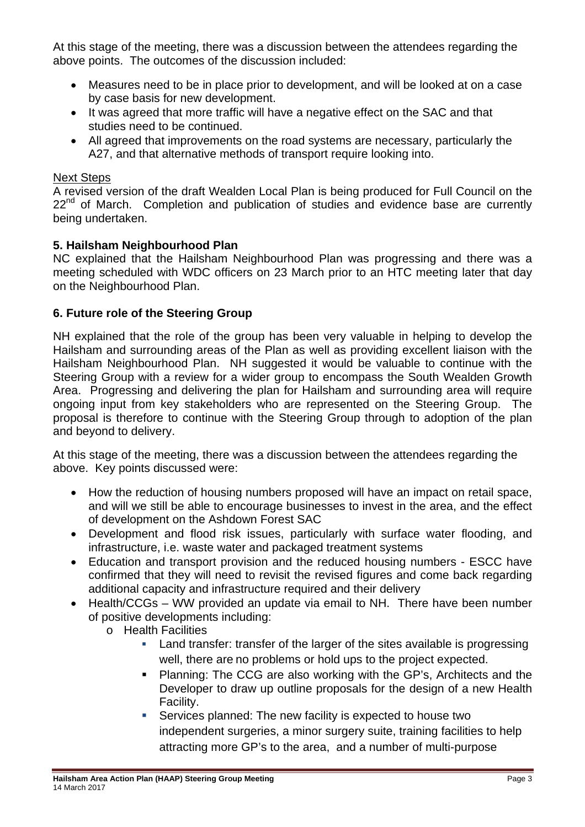At this stage of the meeting, there was a discussion between the attendees regarding the above points. The outcomes of the discussion included:

- Measures need to be in place prior to development, and will be looked at on a case by case basis for new development.
- It was agreed that more traffic will have a negative effect on the SAC and that studies need to be continued.
- All agreed that improvements on the road systems are necessary, particularly the A27, and that alternative methods of transport require looking into.

#### Next Steps

A revised version of the draft Wealden Local Plan is being produced for Full Council on the  $22<sup>nd</sup>$  of March. Completion and publication of studies and evidence base are currently being undertaken.

#### **5. Hailsham Neighbourhood Plan**

NC explained that the Hailsham Neighbourhood Plan was progressing and there was a meeting scheduled with WDC officers on 23 March prior to an HTC meeting later that day on the Neighbourhood Plan.

#### **6. Future role of the Steering Group**

NH explained that the role of the group has been very valuable in helping to develop the Hailsham and surrounding areas of the Plan as well as providing excellent liaison with the Hailsham Neighbourhood Plan. NH suggested it would be valuable to continue with the Steering Group with a review for a wider group to encompass the South Wealden Growth Area. Progressing and delivering the plan for Hailsham and surrounding area will require ongoing input from key stakeholders who are represented on the Steering Group. The proposal is therefore to continue with the Steering Group through to adoption of the plan and beyond to delivery.

At this stage of the meeting, there was a discussion between the attendees regarding the above. Key points discussed were:

- How the reduction of housing numbers proposed will have an impact on retail space, and will we still be able to encourage businesses to invest in the area, and the effect of development on the Ashdown Forest SAC
- Development and flood risk issues, particularly with surface water flooding, and infrastructure, i.e. waste water and packaged treatment systems
- Education and transport provision and the reduced housing numbers ESCC have confirmed that they will need to revisit the revised figures and come back regarding additional capacity and infrastructure required and their delivery
- Health/CCGs WW provided an update via email to NH. There have been number of positive developments including:
	- o Health Facilities
		- Land transfer: transfer of the larger of the sites available is progressing well, there are no problems or hold ups to the project expected.
		- **Planning: The CCG are also working with the GP's, Architects and the** Developer to draw up outline proposals for the design of a new Health Facility.
		- Services planned: The new facility is expected to house two independent surgeries, a minor surgery suite, training facilities to help attracting more GP's to the area, and a number of multi-purpose